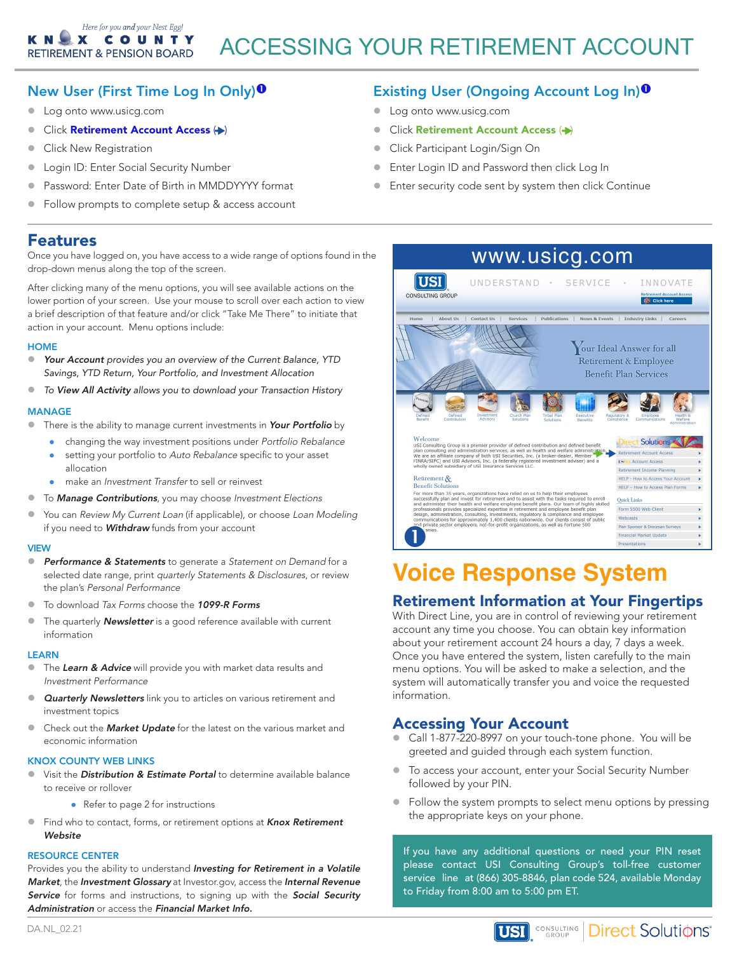## New User (First Time Log In Only)

- Log onto www.usicg.com
- **Click Retirement Account Access (+)**
- Click New Registration
- **Login ID: Enter Social Security Number**
- Password: Enter Date of Birth in MMDDYYYY format
- Follow prompts to complete setup & access account

## Features

Once you have logged on, you have access to a wide range of options found in the drop-down menus along the top of the screen.

After clicking many of the menu options, you will see available actions on the lower portion of your screen. Use your mouse to scroll over each action to view a brief description of that feature and/or click "Take Me There" to initiate that action in your account. Menu options include:

## **HOME**

- **Your Account** provides you an overview of the Current Balance, YTD *Savings, YTD Return, Your Portfolio, and Investment Allocation*
- z *To* View All Activity *allows you to download your Transaction History*

## MANAGE

- There is the ability to manage current investments in Your Portfolio by
	- changing the way investment positions under Portfolio Rebalance
	- setting your portfolio to Auto Rebalance specific to your asset allocation
	- make an Investment Transfer to sell or reinvest
- **•** To **Manage Contributions**, you may choose Investment Elections
- You can Review My Current Loan (if applicable), or choose Loan Modeling if you need to **Withdraw** funds from your account

## VIEW

- **Performance & Statements** to generate a Statement on Demand for a selected date range, print quarterly Statements & Disclosures, or review the plan's Personal Performance
- To download Tax Forms choose the 1099-R Forms
- The quarterly **Newsletter** is a good reference available with current information

#### **LEARN**

- The Learn & Advice will provide you with market data results and Investment Performance
- **Quarterly Newsletters** link you to articles on various retirement and investment topics
- Check out the **Market Update** for the latest on the various market and economic information

## KNOX COUNTY WEB LINKS

- Visit the *Distribution & Estimate Portal* to determine available balance to receive or rollover
	- Refer to page 2 for instructions
- Find who to contact, forms, or retirement options at Knox Retirement **Website**

#### RESOURCE CENTER

Provides you the ability to understand Investing for Retirement in a Volatile Market, the Investment Glossary at Investor.gov, access the Internal Revenue Service for forms and instructions, to signing up with the Social Security Administration or access the Financial Market Info.

## Existing User (Ongoing Account Log In)<sup>0</sup>

- Log onto www.usicg.com
- → Click Retirement Account Access (→)
	- Click Participant Login/Sign On
	- **Enter Login ID and Password then click Log In**
	- Enter security code sent by system then click Continue



# **Voice Response System**

# Retirement Information at Your Fingertips

Once you have entered the system, listen carefully to the main menu options. You will be asked to make a selection, and the stem will automatically transfer you and voice the re system will automatically transfer you and voice the requested<br>information information. With Direct Line, you are in control of reviewing your retirement account any time you choose. You can obtain key information about your retirement account 24 hours a day, 7 days a week.

## **Accessing Your Account**

- call 1-877-220-8997 on your touch-tone phone. You will be greeted and guided through each system function.
- To access your account, enter your Social Security Number followed by your PIN.
- Follow the system prompts to select menu options by pressing the appropriate keys on your phone.

If you have any additional questions or need your PIN reset please contact USI Consulting Group's toll-free customer service line at (866) 305-8846, plan code 524, available Monday to Friday from 8:00 am to 5:00 pm ET.